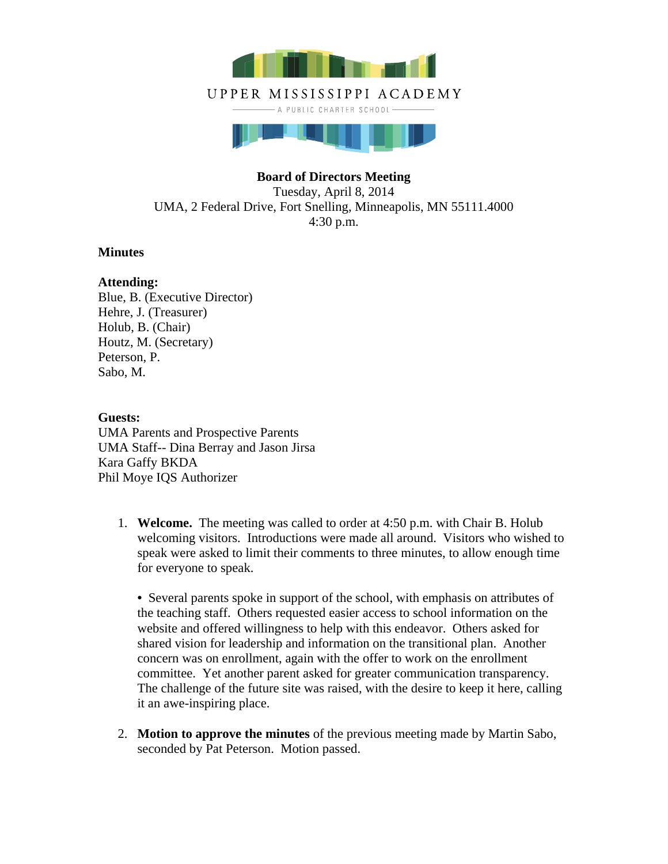

# UPPER MISSISSIPPI ACADEMY

- A PUBLIC CHARTER SCHOOL-



# **Board of Directors Meeting**

Tuesday, April 8, 2014 UMA, 2 Federal Drive, Fort Snelling, Minneapolis, MN 55111.4000 4:30 p.m.

# **Minutes**

# **Attending:**

Blue, B. (Executive Director) Hehre, J. (Treasurer) Holub, B. (Chair) Houtz, M. (Secretary) Peterson, P. Sabo, M.

**Guests:**  UMA Parents and Prospective Parents UMA Staff-- Dina Berray and Jason Jirsa Kara Gaffy BKDA Phil Moye IQS Authorizer

1. **Welcome.** The meeting was called to order at 4:50 p.m. with Chair B. Holub welcoming visitors. Introductions were made all around. Visitors who wished to speak were asked to limit their comments to three minutes, to allow enough time for everyone to speak.

**•** Several parents spoke in support of the school, with emphasis on attributes of the teaching staff. Others requested easier access to school information on the website and offered willingness to help with this endeavor. Others asked for shared vision for leadership and information on the transitional plan. Another concern was on enrollment, again with the offer to work on the enrollment committee. Yet another parent asked for greater communication transparency. The challenge of the future site was raised, with the desire to keep it here, calling it an awe-inspiring place.

2. **Motion to approve the minutes** of the previous meeting made by Martin Sabo, seconded by Pat Peterson. Motion passed.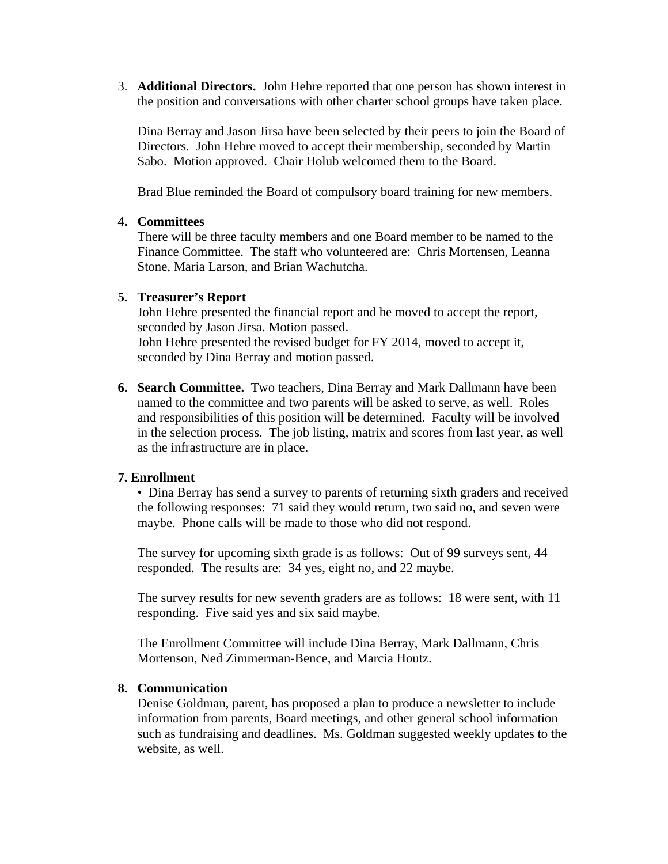3. **Additional Directors.** John Hehre reported that one person has shown interest in the position and conversations with other charter school groups have taken place.

Dina Berray and Jason Jirsa have been selected by their peers to join the Board of Directors. John Hehre moved to accept their membership, seconded by Martin Sabo. Motion approved. Chair Holub welcomed them to the Board.

Brad Blue reminded the Board of compulsory board training for new members.

#### **4. Committees**

There will be three faculty members and one Board member to be named to the Finance Committee. The staff who volunteered are: Chris Mortensen, Leanna Stone, Maria Larson, and Brian Wachutcha.

#### **5. Treasurer's Report**

John Hehre presented the financial report and he moved to accept the report, seconded by Jason Jirsa. Motion passed.

John Hehre presented the revised budget for FY 2014, moved to accept it, seconded by Dina Berray and motion passed.

**6. Search Committee.** Two teachers, Dina Berray and Mark Dallmann have been named to the committee and two parents will be asked to serve, as well. Roles and responsibilities of this position will be determined. Faculty will be involved in the selection process. The job listing, matrix and scores from last year, as well as the infrastructure are in place.

# **7. Enrollment**

• Dina Berray has send a survey to parents of returning sixth graders and received the following responses: 71 said they would return, two said no, and seven were maybe. Phone calls will be made to those who did not respond.

The survey for upcoming sixth grade is as follows: Out of 99 surveys sent, 44 responded. The results are: 34 yes, eight no, and 22 maybe.

The survey results for new seventh graders are as follows: 18 were sent, with 11 responding. Five said yes and six said maybe.

The Enrollment Committee will include Dina Berray, Mark Dallmann, Chris Mortenson, Ned Zimmerman-Bence, and Marcia Houtz.

# **8. Communication**

Denise Goldman, parent, has proposed a plan to produce a newsletter to include information from parents, Board meetings, and other general school information such as fundraising and deadlines. Ms. Goldman suggested weekly updates to the website, as well.